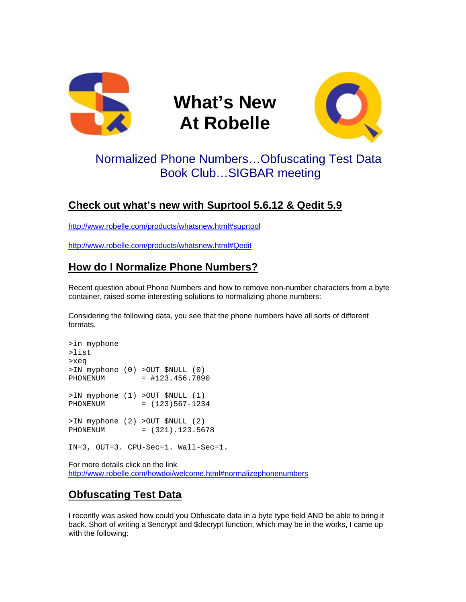

# **What's New At Robelle**



## Normalized Phone Numbers…Obfuscating Test Data Book Club…SIGBAR meeting

### **Check out what's new with Suprtool 5.6.12 & Qedit 5.9**

<http://www.robelle.com/products/whatsnew.html#suprtool>

<http://www.robelle.com/products/whatsnew.html#Qedit>

### **How do I Normalize Phone Numbers?**

Recent question about Phone Numbers and how to remove non-number characters from a byte container, raised some interesting solutions to normalizing phone numbers:

Considering the following data, you see that the phone numbers have all sorts of different formats.

>in myphone >list >xeq >IN myphone (0) >OUT \$NULL (0) PHONENUM = #123.456.7890 >IN myphone (1) >OUT \$NULL (1) PHONENUM = (123)567-1234 >IN myphone (2) >OUT \$NULL (2) PHONENUM = (321).123.5678 IN=3, OUT=3. CPU-Sec=1. Wall-Sec=1.

For more details click on the link <http://www.robelle.com/howdoi/welcome.html#normalizephonenumbers>

#### **Obfuscating Test Data**

I recently was asked how could you Obfuscate data in a byte type field AND be able to bring it back. Short of writing a \$encrypt and \$decrypt function, which may be in the works, I came up with the following: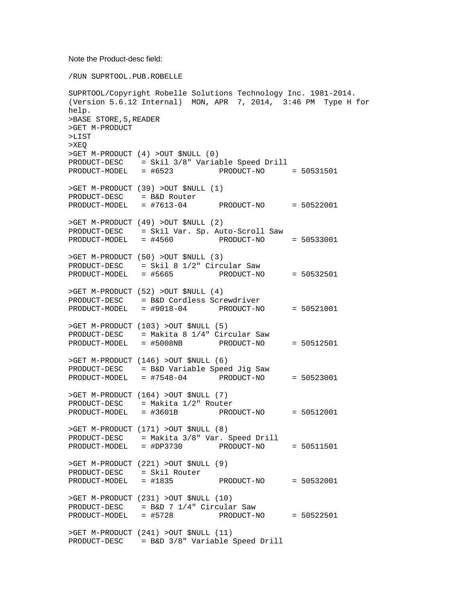#### Note the Product-desc field:

/RUN SUPRTOOL.PUB.ROBELLE

```
SUPRTOOL/Copyright Robelle Solutions Technology Inc. 1981-2014. 
(Version 5.6.12 Internal) MON, APR 7, 2014, 3:46 PM Type H for 
help. 
>BASE STORE,5,READER 
>GET M-PRODUCT 
>LIST 
>XEQ 
>GET M-PRODUCT (4) >OUT $NULL (0) 
PRODUCT-DESC = Skil 3/8" Variable Speed Drill 
PRODUCT-MODEL = #6523 PRODUCT-NO = 50531501 
>GET M-PRODUCT (39) >OUT $NULL (1) 
PRODUCT-DESC = B&D Router 
PRODUCT-MODEL = #7613-04 PRODUCT-NO = 50522001 
>GET M-PRODUCT (49) >OUT $NULL (2) 
PRODUCT-DESC = Skil Var. Sp. Auto-Scroll Saw 
PRODUCT-MODEL = #4560 PRODUCT-NO
>GET M-PRODUCT (50) >OUT $NULL (3) 
PRODUCT-DESC = Skil 8 1/2" Circular Saw 
PRODUCT-MODEL = #5665 PRODUCT-NO = 50532501 
>GET M-PRODUCT (52) >OUT $NULL (4) 
PRODUCT-DESC = B&D Cordless Screwdriver 
PRODUCT-MODEL = #9018-04 PRODUCT-NO = 50521001 
>GET M-PRODUCT (103) >OUT $NULL (5) 
PRODUCT-DESC = Makita 8 1/4" Circular Saw 
PRODUCT-MODEL = #5008NB PRODUCT-NO = 50512501 
>GET M-PRODUCT (146) >OUT $NULL (6) 
PRODUCT-DESC = B&D Variable Speed Jig Saw 
PRODUCT-MODEL = #7548-04 PRODUCT-NO
>GET M-PRODUCT (164) >OUT $NULL (7) 
PRODUCT-DESC = Makita 1/2" Router 
                             PRODUCT-NO = 50512001
>GET M-PRODUCT (171) >OUT $NULL (8) 
PRODUCT-DESC = Makita 3/8" Var. Speed Drill 
PRODUCT-MODEL = #DP3730 PRODUCT-NO = 50511501 
>GET M-PRODUCT (221) >OUT $NULL (9) 
PRODUCT-DESC = Skil Router<br>PRODUCT-MODEL = #1835
                             PRODUCT-NO = 50532001
>GET M-PRODUCT (231) >OUT $NULL (10) 
PRODUCT-DESC = B&D 7 1/4" Circular Saw 
PRODUCT-MODEL = #5728 PRODUCT-NO = 50522501 
>GET M-PRODUCT (241) >OUT $NULL (11) 
PRODUCT-DESC = B&D 3/8" Variable Speed Drill
```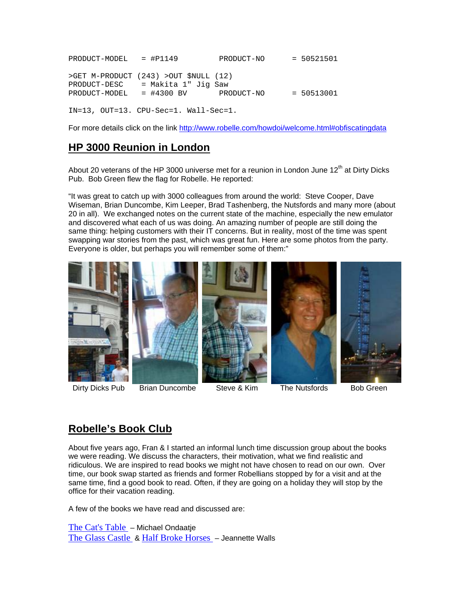PRODUCT-MODEL = #P1149 PRODUCT-NO = 50521501 >GET M-PRODUCT (243) >OUT \$NULL (12) PRODUCT-DESC = Makita 1" Jig Saw PRODUCT-MODEL = #4300 BV PRODUCT-NO = 50513001 IN=13, OUT=13. CPU-Sec=1. Wall-Sec=1.

For more details click on the link <http://www.robelle.com/howdoi/welcome.html#obfiscatingdata>

#### **HP 3000 Reunion in London**

About 20 veterans of the HP 3000 universe met for a reunion in London June  $12<sup>th</sup>$  at Dirty Dicks Pub. Bob Green flew the flag for Robelle. He reported:

"It was great to catch up with 3000 colleagues from around the world: Steve Cooper, Dave Wiseman, Brian Duncombe, Kim Leeper, Brad Tashenberg, the Nutsfords and many more (about 20 in all). We exchanged notes on the current state of the machine, especially the new emulator and discovered what each of us was doing. An amazing number of people are still doing the same thing: helping customers with their IT concerns. But in reality, most of the time was spent swapping war stories from the past, which was great fun. Here are some photos from the party. Everyone is older, but perhaps you will remember some of them:"



Dirty Dicks Pub Brian Duncombe Steve & Kim The Nutsfords Bob Green

#### **Robelle's Book Club**

About five years ago, Fran & I started an informal lunch time discussion group about the books we were reading. We discuss the characters, their motivation, what we find realistic and ridiculous. We are inspired to read books we might not have chosen to read on our own. Over time, our book swap started as friends and former Robellians stopped by for a visit and at the same time, find a good book to read. Often, if they are going on a holiday they will stop by the office for their vacation reading.

A few of the books we have read and discussed are:

[The Cat's Table](https://www.goodreads.com/book/show/11076177-the-cat-s-table?from_search=true) – Michael Ondaatje [The Glass Castle](https://www.goodreads.com/book/show/7445.The_Glass_Castle?from_search=true) & [Half Broke Horses](https://www.goodreads.com/book/show/6366437-half-broke-horses?from_search=true) – Jeannette Walls